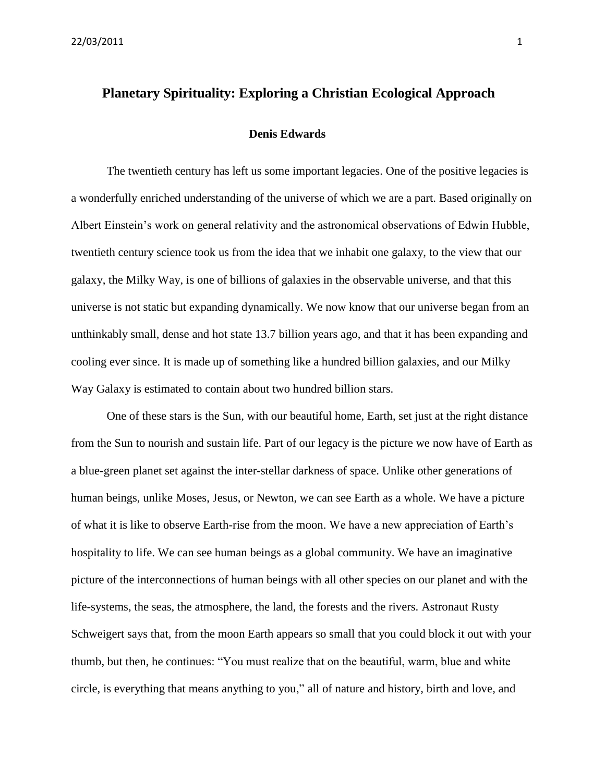# **Planetary Spirituality: Exploring a Christian Ecological Approach**

### **Denis Edwards**

The twentieth century has left us some important legacies. One of the positive legacies is a wonderfully enriched understanding of the universe of which we are a part. Based originally on Albert Einstein's work on general relativity and the astronomical observations of Edwin Hubble, twentieth century science took us from the idea that we inhabit one galaxy, to the view that our galaxy, the Milky Way, is one of billions of galaxies in the observable universe, and that this universe is not static but expanding dynamically. We now know that our universe began from an unthinkably small, dense and hot state 13.7 billion years ago, and that it has been expanding and cooling ever since. It is made up of something like a hundred billion galaxies, and our Milky Way Galaxy is estimated to contain about two hundred billion stars.

One of these stars is the Sun, with our beautiful home, Earth, set just at the right distance from the Sun to nourish and sustain life. Part of our legacy is the picture we now have of Earth as a blue-green planet set against the inter-stellar darkness of space. Unlike other generations of human beings, unlike Moses, Jesus, or Newton, we can see Earth as a whole. We have a picture of what it is like to observe Earth-rise from the moon. We have a new appreciation of Earth's hospitality to life. We can see human beings as a global community. We have an imaginative picture of the interconnections of human beings with all other species on our planet and with the life-systems, the seas, the atmosphere, the land, the forests and the rivers. Astronaut Rusty Schweigert says that, from the moon Earth appears so small that you could block it out with your thumb, but then, he continues: "You must realize that on the beautiful, warm, blue and white circle, is everything that means anything to you," all of nature and history, birth and love, and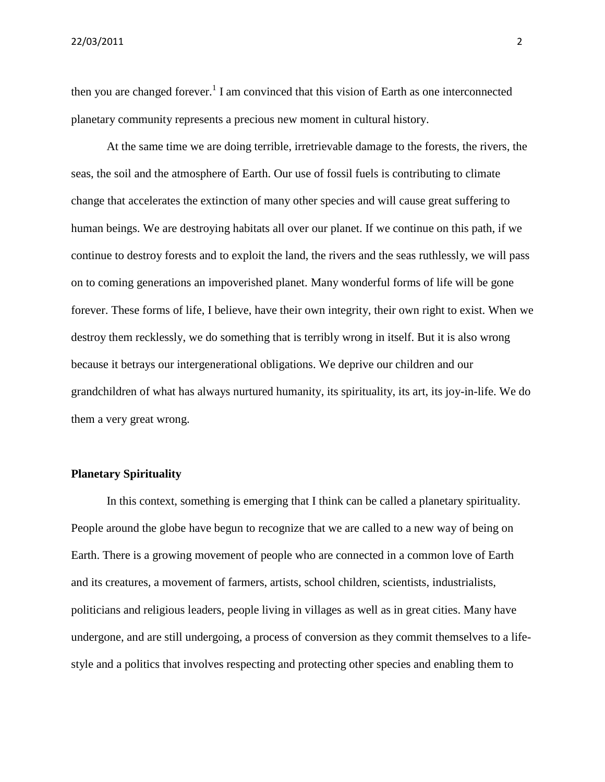22/03/2011 2

then you are changed forever.<sup>1</sup> I am convinced that this vision of Earth as one interconnected planetary community represents a precious new moment in cultural history.

At the same time we are doing terrible, irretrievable damage to the forests, the rivers, the seas, the soil and the atmosphere of Earth. Our use of fossil fuels is contributing to climate change that accelerates the extinction of many other species and will cause great suffering to human beings. We are destroying habitats all over our planet. If we continue on this path, if we continue to destroy forests and to exploit the land, the rivers and the seas ruthlessly, we will pass on to coming generations an impoverished planet. Many wonderful forms of life will be gone forever. These forms of life, I believe, have their own integrity, their own right to exist. When we destroy them recklessly, we do something that is terribly wrong in itself. But it is also wrong because it betrays our intergenerational obligations. We deprive our children and our grandchildren of what has always nurtured humanity, its spirituality, its art, its joy-in-life. We do them a very great wrong.

## **Planetary Spirituality**

In this context, something is emerging that I think can be called a planetary spirituality. People around the globe have begun to recognize that we are called to a new way of being on Earth. There is a growing movement of people who are connected in a common love of Earth and its creatures, a movement of farmers, artists, school children, scientists, industrialists, politicians and religious leaders, people living in villages as well as in great cities. Many have undergone, and are still undergoing, a process of conversion as they commit themselves to a lifestyle and a politics that involves respecting and protecting other species and enabling them to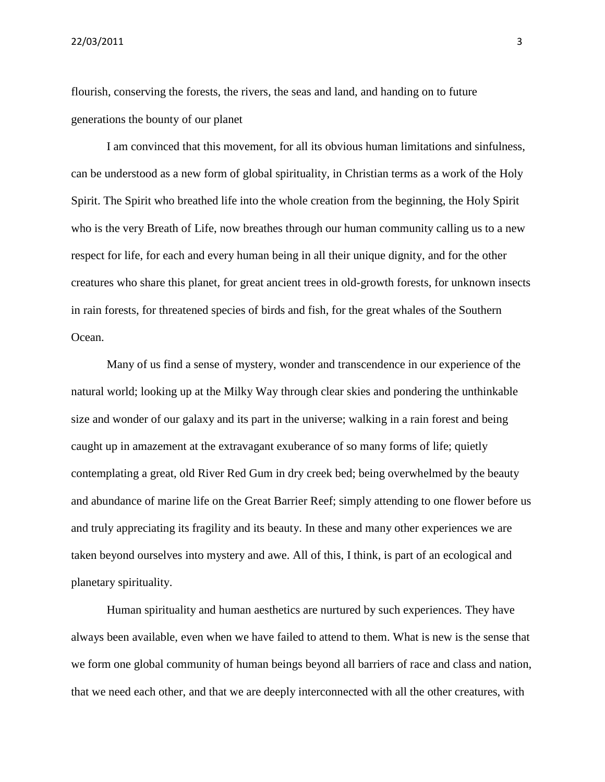22/03/2011 3

flourish, conserving the forests, the rivers, the seas and land, and handing on to future generations the bounty of our planet

I am convinced that this movement, for all its obvious human limitations and sinfulness, can be understood as a new form of global spirituality, in Christian terms as a work of the Holy Spirit. The Spirit who breathed life into the whole creation from the beginning, the Holy Spirit who is the very Breath of Life, now breathes through our human community calling us to a new respect for life, for each and every human being in all their unique dignity, and for the other creatures who share this planet, for great ancient trees in old-growth forests, for unknown insects in rain forests, for threatened species of birds and fish, for the great whales of the Southern Ocean.

Many of us find a sense of mystery, wonder and transcendence in our experience of the natural world; looking up at the Milky Way through clear skies and pondering the unthinkable size and wonder of our galaxy and its part in the universe; walking in a rain forest and being caught up in amazement at the extravagant exuberance of so many forms of life; quietly contemplating a great, old River Red Gum in dry creek bed; being overwhelmed by the beauty and abundance of marine life on the Great Barrier Reef; simply attending to one flower before us and truly appreciating its fragility and its beauty. In these and many other experiences we are taken beyond ourselves into mystery and awe. All of this, I think, is part of an ecological and planetary spirituality.

Human spirituality and human aesthetics are nurtured by such experiences. They have always been available, even when we have failed to attend to them. What is new is the sense that we form one global community of human beings beyond all barriers of race and class and nation, that we need each other, and that we are deeply interconnected with all the other creatures, with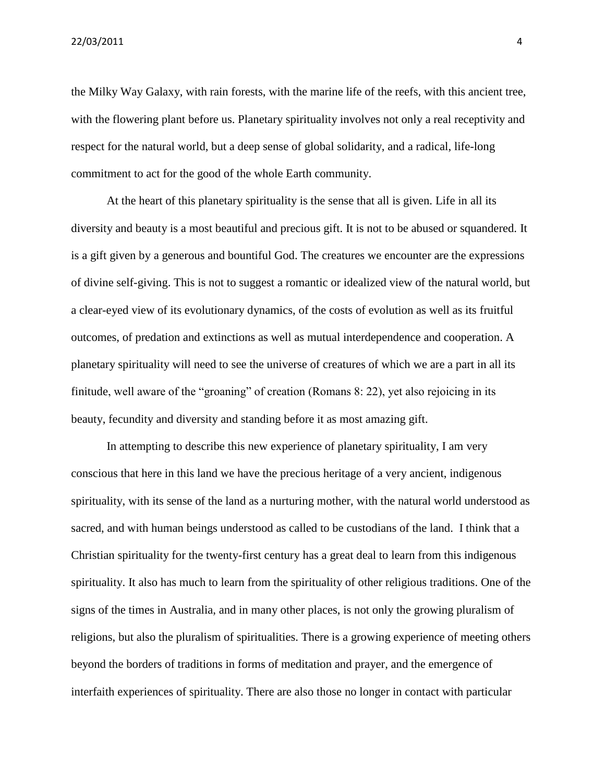the Milky Way Galaxy, with rain forests, with the marine life of the reefs, with this ancient tree, with the flowering plant before us. Planetary spirituality involves not only a real receptivity and respect for the natural world, but a deep sense of global solidarity, and a radical, life-long commitment to act for the good of the whole Earth community.

At the heart of this planetary spirituality is the sense that all is given. Life in all its diversity and beauty is a most beautiful and precious gift. It is not to be abused or squandered. It is a gift given by a generous and bountiful God. The creatures we encounter are the expressions of divine self-giving. This is not to suggest a romantic or idealized view of the natural world, but a clear-eyed view of its evolutionary dynamics, of the costs of evolution as well as its fruitful outcomes, of predation and extinctions as well as mutual interdependence and cooperation. A planetary spirituality will need to see the universe of creatures of which we are a part in all its finitude, well aware of the "groaning" of creation (Romans 8: 22), yet also rejoicing in its beauty, fecundity and diversity and standing before it as most amazing gift.

In attempting to describe this new experience of planetary spirituality, I am very conscious that here in this land we have the precious heritage of a very ancient, indigenous spirituality, with its sense of the land as a nurturing mother, with the natural world understood as sacred, and with human beings understood as called to be custodians of the land. I think that a Christian spirituality for the twenty-first century has a great deal to learn from this indigenous spirituality. It also has much to learn from the spirituality of other religious traditions. One of the signs of the times in Australia, and in many other places, is not only the growing pluralism of religions, but also the pluralism of spiritualities. There is a growing experience of meeting others beyond the borders of traditions in forms of meditation and prayer, and the emergence of interfaith experiences of spirituality. There are also those no longer in contact with particular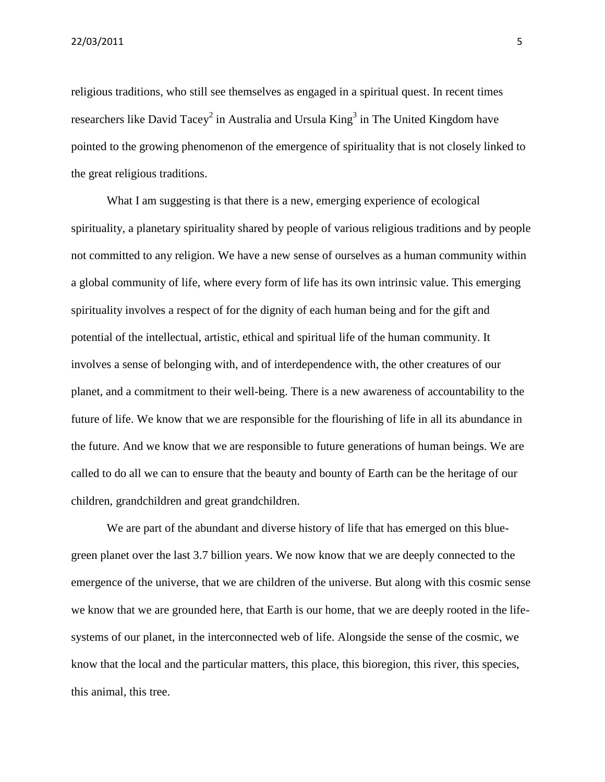religious traditions, who still see themselves as engaged in a spiritual quest. In recent times researchers like David Tacey<sup>2</sup> in Australia and Ursula King<sup>3</sup> in The United Kingdom have pointed to the growing phenomenon of the emergence of spirituality that is not closely linked to the great religious traditions.

What I am suggesting is that there is a new, emerging experience of ecological spirituality, a planetary spirituality shared by people of various religious traditions and by people not committed to any religion. We have a new sense of ourselves as a human community within a global community of life, where every form of life has its own intrinsic value. This emerging spirituality involves a respect of for the dignity of each human being and for the gift and potential of the intellectual, artistic, ethical and spiritual life of the human community. It involves a sense of belonging with, and of interdependence with, the other creatures of our planet, and a commitment to their well-being. There is a new awareness of accountability to the future of life. We know that we are responsible for the flourishing of life in all its abundance in the future. And we know that we are responsible to future generations of human beings. We are called to do all we can to ensure that the beauty and bounty of Earth can be the heritage of our children, grandchildren and great grandchildren.

We are part of the abundant and diverse history of life that has emerged on this bluegreen planet over the last 3.7 billion years. We now know that we are deeply connected to the emergence of the universe, that we are children of the universe. But along with this cosmic sense we know that we are grounded here, that Earth is our home, that we are deeply rooted in the lifesystems of our planet, in the interconnected web of life. Alongside the sense of the cosmic, we know that the local and the particular matters, this place, this bioregion, this river, this species, this animal, this tree.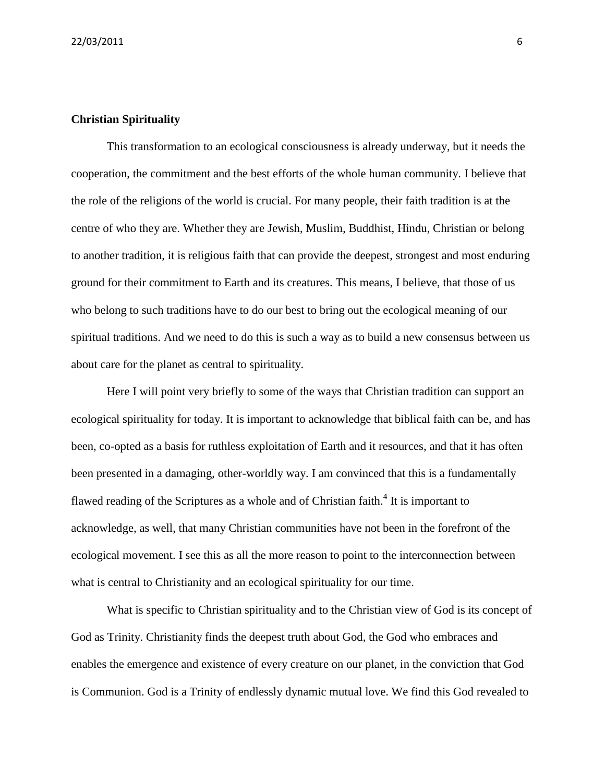### **Christian Spirituality**

This transformation to an ecological consciousness is already underway, but it needs the cooperation, the commitment and the best efforts of the whole human community. I believe that the role of the religions of the world is crucial. For many people, their faith tradition is at the centre of who they are. Whether they are Jewish, Muslim, Buddhist, Hindu, Christian or belong to another tradition, it is religious faith that can provide the deepest, strongest and most enduring ground for their commitment to Earth and its creatures. This means, I believe, that those of us who belong to such traditions have to do our best to bring out the ecological meaning of our spiritual traditions. And we need to do this is such a way as to build a new consensus between us about care for the planet as central to spirituality.

Here I will point very briefly to some of the ways that Christian tradition can support an ecological spirituality for today. It is important to acknowledge that biblical faith can be, and has been, co-opted as a basis for ruthless exploitation of Earth and it resources, and that it has often been presented in a damaging, other-worldly way. I am convinced that this is a fundamentally flawed reading of the Scriptures as a whole and of Christian faith.<sup>4</sup> It is important to acknowledge, as well, that many Christian communities have not been in the forefront of the ecological movement. I see this as all the more reason to point to the interconnection between what is central to Christianity and an ecological spirituality for our time.

What is specific to Christian spirituality and to the Christian view of God is its concept of God as Trinity. Christianity finds the deepest truth about God, the God who embraces and enables the emergence and existence of every creature on our planet, in the conviction that God is Communion. God is a Trinity of endlessly dynamic mutual love. We find this God revealed to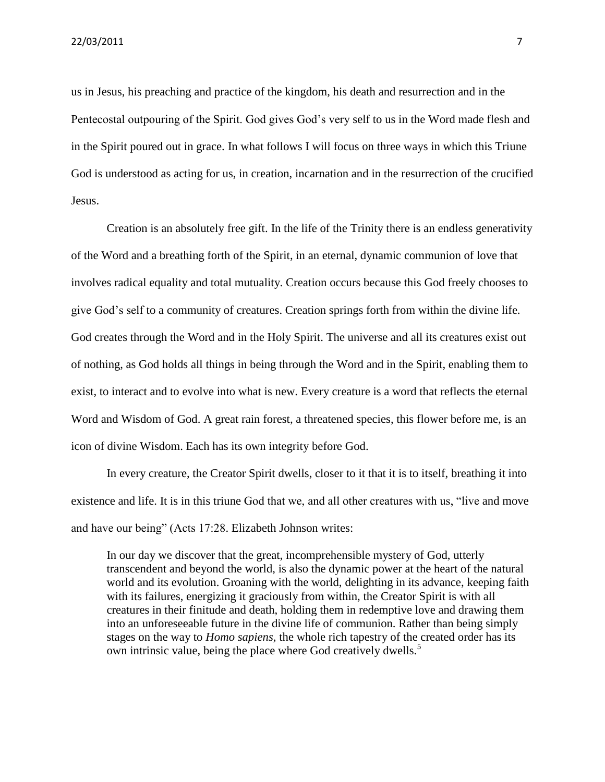us in Jesus, his preaching and practice of the kingdom, his death and resurrection and in the Pentecostal outpouring of the Spirit. God gives God's very self to us in the Word made flesh and in the Spirit poured out in grace. In what follows I will focus on three ways in which this Triune God is understood as acting for us, in creation, incarnation and in the resurrection of the crucified Jesus.

Creation is an absolutely free gift. In the life of the Trinity there is an endless generativity of the Word and a breathing forth of the Spirit, in an eternal, dynamic communion of love that involves radical equality and total mutuality. Creation occurs because this God freely chooses to give God's self to a community of creatures. Creation springs forth from within the divine life. God creates through the Word and in the Holy Spirit. The universe and all its creatures exist out of nothing, as God holds all things in being through the Word and in the Spirit, enabling them to exist, to interact and to evolve into what is new. Every creature is a word that reflects the eternal Word and Wisdom of God. A great rain forest, a threatened species, this flower before me, is an icon of divine Wisdom. Each has its own integrity before God.

In every creature, the Creator Spirit dwells, closer to it that it is to itself, breathing it into existence and life. It is in this triune God that we, and all other creatures with us, "live and move and have our being" (Acts 17:28. Elizabeth Johnson writes:

In our day we discover that the great, incomprehensible mystery of God, utterly transcendent and beyond the world, is also the dynamic power at the heart of the natural world and its evolution. Groaning with the world, delighting in its advance, keeping faith with its failures, energizing it graciously from within, the Creator Spirit is with all creatures in their finitude and death, holding them in redemptive love and drawing them into an unforeseeable future in the divine life of communion. Rather than being simply stages on the way to *Homo sapiens*, the whole rich tapestry of the created order has its own intrinsic value, being the place where God creatively dwells.<sup>5</sup>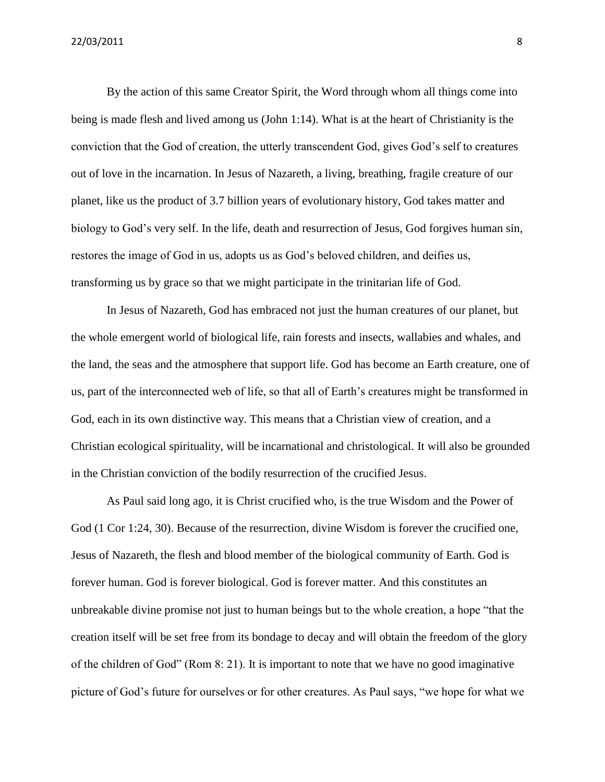By the action of this same Creator Spirit, the Word through whom all things come into being is made flesh and lived among us (John 1:14). What is at the heart of Christianity is the conviction that the God of creation, the utterly transcendent God, gives God's self to creatures out of love in the incarnation. In Jesus of Nazareth, a living, breathing, fragile creature of our planet, like us the product of 3.7 billion years of evolutionary history, God takes matter and biology to God's very self. In the life, death and resurrection of Jesus, God forgives human sin, restores the image of God in us, adopts us as God's beloved children, and deifies us, transforming us by grace so that we might participate in the trinitarian life of God.

In Jesus of Nazareth, God has embraced not just the human creatures of our planet, but the whole emergent world of biological life, rain forests and insects, wallabies and whales, and the land, the seas and the atmosphere that support life. God has become an Earth creature, one of us, part of the interconnected web of life, so that all of Earth's creatures might be transformed in God, each in its own distinctive way. This means that a Christian view of creation, and a Christian ecological spirituality, will be incarnational and christological. It will also be grounded in the Christian conviction of the bodily resurrection of the crucified Jesus.

As Paul said long ago, it is Christ crucified who, is the true Wisdom and the Power of God (1 Cor 1:24, 30). Because of the resurrection, divine Wisdom is forever the crucified one, Jesus of Nazareth, the flesh and blood member of the biological community of Earth. God is forever human. God is forever biological. God is forever matter. And this constitutes an unbreakable divine promise not just to human beings but to the whole creation, a hope "that the creation itself will be set free from its bondage to decay and will obtain the freedom of the glory of the children of God" (Rom 8: 21). It is important to note that we have no good imaginative picture of God's future for ourselves or for other creatures. As Paul says, "we hope for what we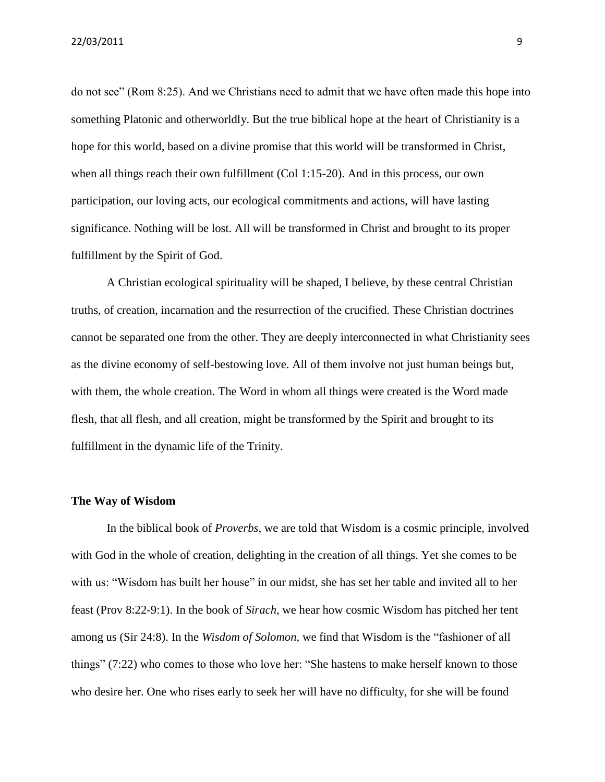do not see" (Rom 8:25). And we Christians need to admit that we have often made this hope into something Platonic and otherworldly. But the true biblical hope at the heart of Christianity is a hope for this world, based on a divine promise that this world will be transformed in Christ, when all things reach their own fulfillment (Col 1:15-20). And in this process, our own participation, our loving acts, our ecological commitments and actions, will have lasting significance. Nothing will be lost. All will be transformed in Christ and brought to its proper fulfillment by the Spirit of God.

A Christian ecological spirituality will be shaped, I believe, by these central Christian truths, of creation, incarnation and the resurrection of the crucified. These Christian doctrines cannot be separated one from the other. They are deeply interconnected in what Christianity sees as the divine economy of self-bestowing love. All of them involve not just human beings but, with them, the whole creation. The Word in whom all things were created is the Word made flesh, that all flesh, and all creation, might be transformed by the Spirit and brought to its fulfillment in the dynamic life of the Trinity.

#### **The Way of Wisdom**

In the biblical book of *Proverbs*, we are told that Wisdom is a cosmic principle, involved with God in the whole of creation, delighting in the creation of all things. Yet she comes to be with us: "Wisdom has built her house" in our midst, she has set her table and invited all to her feast (Prov 8:22-9:1). In the book of *Sirach*, we hear how cosmic Wisdom has pitched her tent among us (Sir 24:8). In the *Wisdom of Solomon*, we find that Wisdom is the "fashioner of all things" (7:22) who comes to those who love her: "She hastens to make herself known to those who desire her. One who rises early to seek her will have no difficulty, for she will be found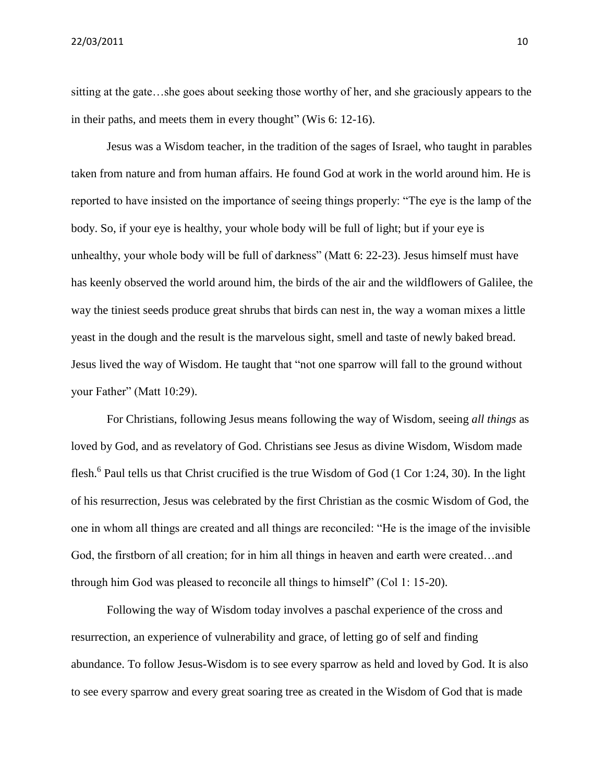sitting at the gate…she goes about seeking those worthy of her, and she graciously appears to the in their paths, and meets them in every thought" (Wis 6: 12-16).

Jesus was a Wisdom teacher, in the tradition of the sages of Israel, who taught in parables taken from nature and from human affairs. He found God at work in the world around him. He is reported to have insisted on the importance of seeing things properly: "The eye is the lamp of the body. So, if your eye is healthy, your whole body will be full of light; but if your eye is unhealthy, your whole body will be full of darkness" (Matt 6: 22-23). Jesus himself must have has keenly observed the world around him, the birds of the air and the wildflowers of Galilee, the way the tiniest seeds produce great shrubs that birds can nest in, the way a woman mixes a little yeast in the dough and the result is the marvelous sight, smell and taste of newly baked bread. Jesus lived the way of Wisdom. He taught that "not one sparrow will fall to the ground without your Father" (Matt 10:29).

For Christians, following Jesus means following the way of Wisdom, seeing *all things* as loved by God, and as revelatory of God. Christians see Jesus as divine Wisdom, Wisdom made flesh.<sup>6</sup> Paul tells us that Christ crucified is the true Wisdom of God (1 Cor 1:24, 30). In the light of his resurrection, Jesus was celebrated by the first Christian as the cosmic Wisdom of God, the one in whom all things are created and all things are reconciled: "He is the image of the invisible God, the firstborn of all creation; for in him all things in heaven and earth were created…and through him God was pleased to reconcile all things to himself" (Col 1: 15-20).

Following the way of Wisdom today involves a paschal experience of the cross and resurrection, an experience of vulnerability and grace, of letting go of self and finding abundance. To follow Jesus-Wisdom is to see every sparrow as held and loved by God. It is also to see every sparrow and every great soaring tree as created in the Wisdom of God that is made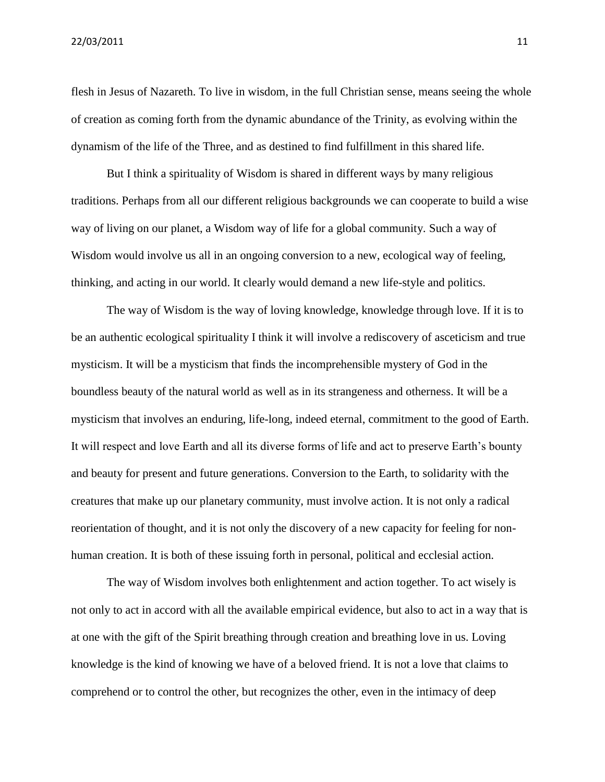flesh in Jesus of Nazareth. To live in wisdom, in the full Christian sense, means seeing the whole of creation as coming forth from the dynamic abundance of the Trinity, as evolving within the dynamism of the life of the Three, and as destined to find fulfillment in this shared life.

But I think a spirituality of Wisdom is shared in different ways by many religious traditions. Perhaps from all our different religious backgrounds we can cooperate to build a wise way of living on our planet, a Wisdom way of life for a global community. Such a way of Wisdom would involve us all in an ongoing conversion to a new, ecological way of feeling, thinking, and acting in our world. It clearly would demand a new life-style and politics.

The way of Wisdom is the way of loving knowledge, knowledge through love. If it is to be an authentic ecological spirituality I think it will involve a rediscovery of asceticism and true mysticism. It will be a mysticism that finds the incomprehensible mystery of God in the boundless beauty of the natural world as well as in its strangeness and otherness. It will be a mysticism that involves an enduring, life-long, indeed eternal, commitment to the good of Earth. It will respect and love Earth and all its diverse forms of life and act to preserve Earth's bounty and beauty for present and future generations. Conversion to the Earth, to solidarity with the creatures that make up our planetary community, must involve action. It is not only a radical reorientation of thought, and it is not only the discovery of a new capacity for feeling for nonhuman creation. It is both of these issuing forth in personal, political and ecclesial action.

The way of Wisdom involves both enlightenment and action together. To act wisely is not only to act in accord with all the available empirical evidence, but also to act in a way that is at one with the gift of the Spirit breathing through creation and breathing love in us. Loving knowledge is the kind of knowing we have of a beloved friend. It is not a love that claims to comprehend or to control the other, but recognizes the other, even in the intimacy of deep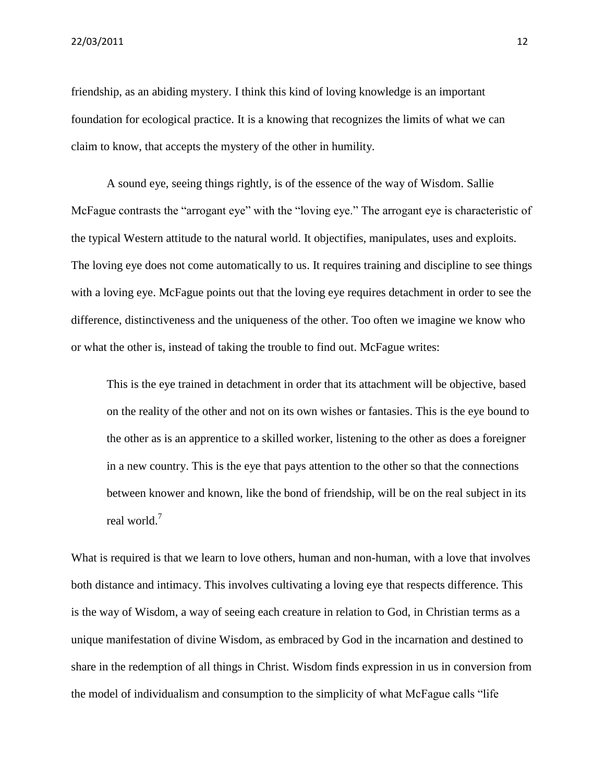friendship, as an abiding mystery. I think this kind of loving knowledge is an important foundation for ecological practice. It is a knowing that recognizes the limits of what we can claim to know, that accepts the mystery of the other in humility.

A sound eye, seeing things rightly, is of the essence of the way of Wisdom. Sallie McFague contrasts the "arrogant eye" with the "loving eye." The arrogant eye is characteristic of the typical Western attitude to the natural world. It objectifies, manipulates, uses and exploits. The loving eye does not come automatically to us. It requires training and discipline to see things with a loving eye. McFague points out that the loving eye requires detachment in order to see the difference, distinctiveness and the uniqueness of the other. Too often we imagine we know who or what the other is, instead of taking the trouble to find out. McFague writes:

This is the eye trained in detachment in order that its attachment will be objective, based on the reality of the other and not on its own wishes or fantasies. This is the eye bound to the other as is an apprentice to a skilled worker, listening to the other as does a foreigner in a new country. This is the eye that pays attention to the other so that the connections between knower and known, like the bond of friendship, will be on the real subject in its real world.<sup>7</sup>

What is required is that we learn to love others, human and non-human, with a love that involves both distance and intimacy. This involves cultivating a loving eye that respects difference. This is the way of Wisdom, a way of seeing each creature in relation to God, in Christian terms as a unique manifestation of divine Wisdom, as embraced by God in the incarnation and destined to share in the redemption of all things in Christ. Wisdom finds expression in us in conversion from the model of individualism and consumption to the simplicity of what McFague calls "life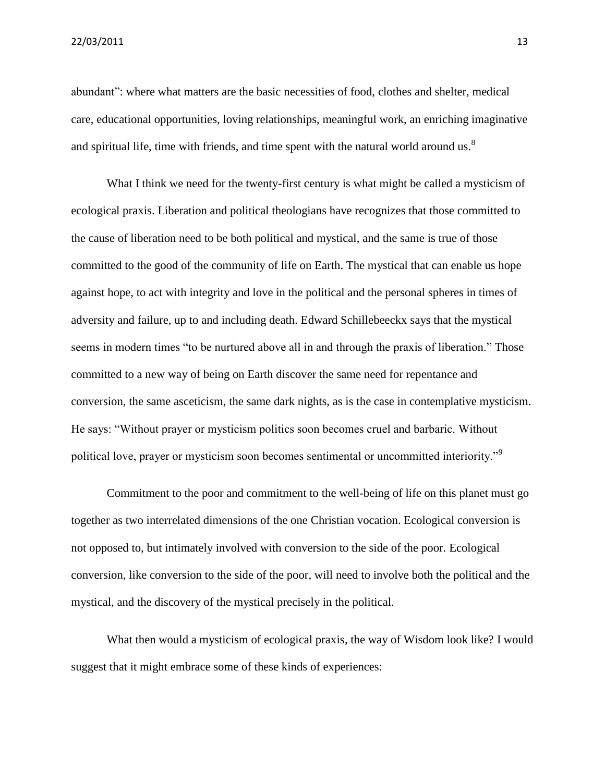abundant": where what matters are the basic necessities of food, clothes and shelter, medical care, educational opportunities, loving relationships, meaningful work, an enriching imaginative and spiritual life, time with friends, and time spent with the natural world around us.<sup>8</sup>

What I think we need for the twenty-first century is what might be called a mysticism of ecological praxis. Liberation and political theologians have recognizes that those committed to the cause of liberation need to be both political and mystical, and the same is true of those committed to the good of the community of life on Earth. The mystical that can enable us hope against hope, to act with integrity and love in the political and the personal spheres in times of adversity and failure, up to and including death. Edward Schillebeeckx says that the mystical seems in modern times "to be nurtured above all in and through the praxis of liberation." Those committed to a new way of being on Earth discover the same need for repentance and conversion, the same asceticism, the same dark nights, as is the case in contemplative mysticism. He says: "Without prayer or mysticism politics soon becomes cruel and barbaric. Without political love, prayer or mysticism soon becomes sentimental or uncommitted interiority."<sup>9</sup>

Commitment to the poor and commitment to the well-being of life on this planet must go together as two interrelated dimensions of the one Christian vocation. Ecological conversion is not opposed to, but intimately involved with conversion to the side of the poor. Ecological conversion, like conversion to the side of the poor, will need to involve both the political and the mystical, and the discovery of the mystical precisely in the political.

What then would a mysticism of ecological praxis, the way of Wisdom look like? I would suggest that it might embrace some of these kinds of experiences: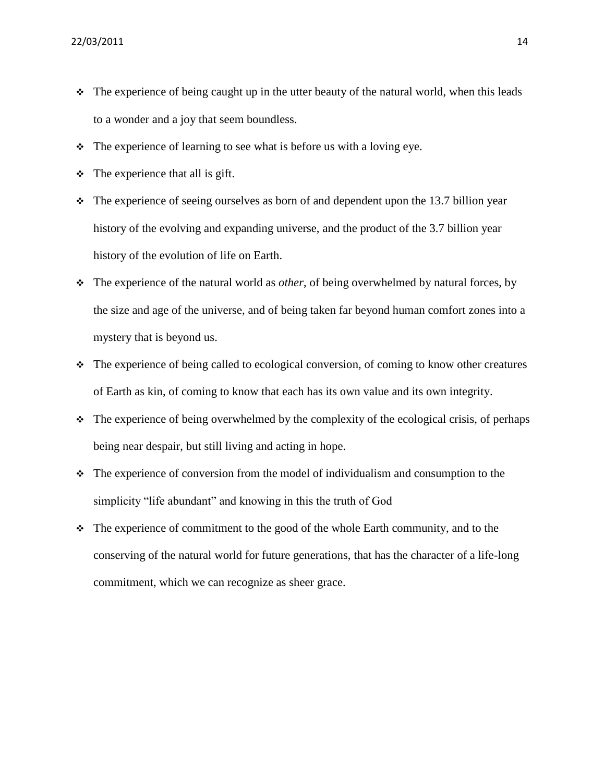- $\cdot \cdot$  The experience of being caught up in the utter beauty of the natural world, when this leads to a wonder and a joy that seem boundless.
- $\cdot \cdot$  The experience of learning to see what is before us with a loving eye.
- $\div$  The experience that all is gift.
- $\cdot$  The experience of seeing ourselves as born of and dependent upon the 13.7 billion year history of the evolving and expanding universe, and the product of the 3.7 billion year history of the evolution of life on Earth.
- The experience of the natural world as *other*, of being overwhelmed by natural forces, by the size and age of the universe, and of being taken far beyond human comfort zones into a mystery that is beyond us.
- The experience of being called to ecological conversion, of coming to know other creatures of Earth as kin, of coming to know that each has its own value and its own integrity.
- $\cdot$  The experience of being overwhelmed by the complexity of the ecological crisis, of perhaps being near despair, but still living and acting in hope.
- The experience of conversion from the model of individualism and consumption to the simplicity "life abundant" and knowing in this the truth of God
- $\div$  The experience of commitment to the good of the whole Earth community, and to the conserving of the natural world for future generations, that has the character of a life-long commitment, which we can recognize as sheer grace.